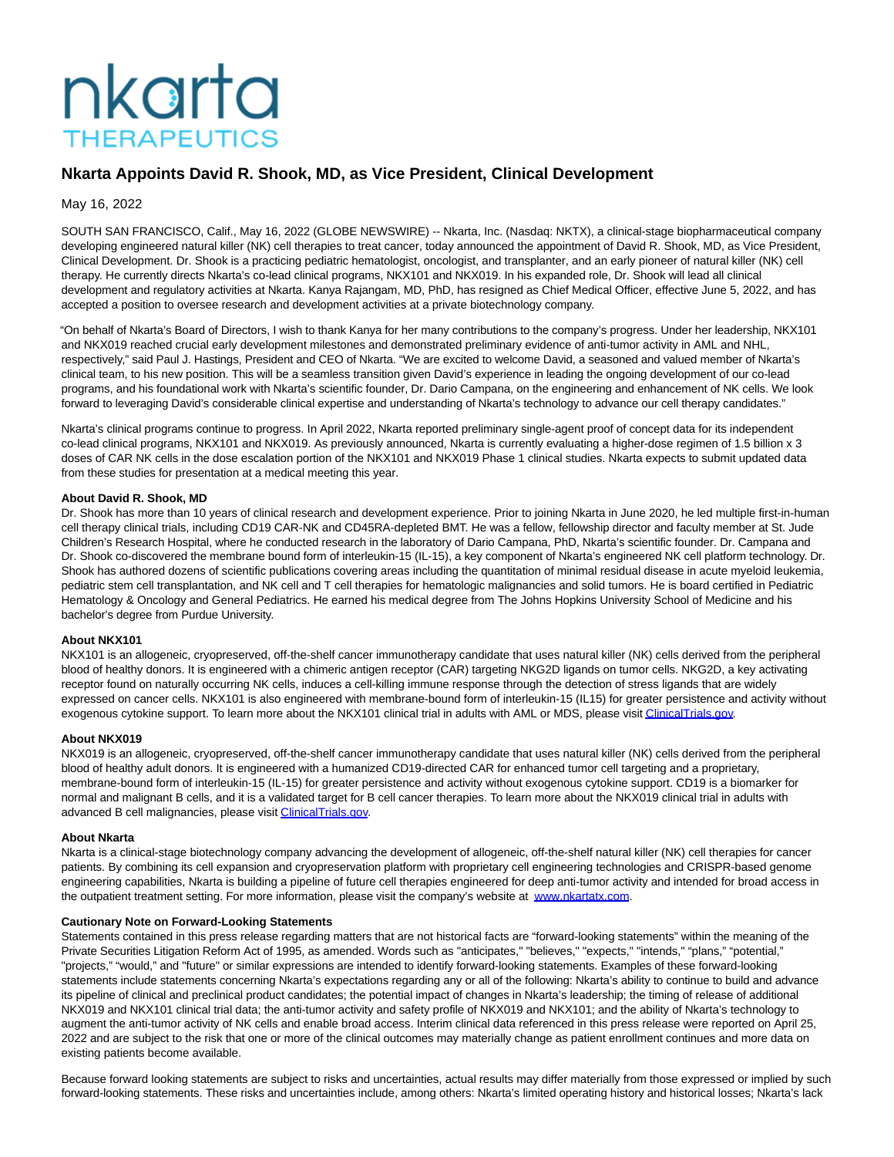# nkarta **THERAPEUTICS**

## **Nkarta Appoints David R. Shook, MD, as Vice President, Clinical Development**

May 16, 2022

SOUTH SAN FRANCISCO, Calif., May 16, 2022 (GLOBE NEWSWIRE) -- Nkarta, Inc. (Nasdaq: NKTX), a clinical-stage biopharmaceutical company developing engineered natural killer (NK) cell therapies to treat cancer, today announced the appointment of David R. Shook, MD, as Vice President, Clinical Development. Dr. Shook is a practicing pediatric hematologist, oncologist, and transplanter, and an early pioneer of natural killer (NK) cell therapy. He currently directs Nkarta's co-lead clinical programs, NKX101 and NKX019. In his expanded role, Dr. Shook will lead all clinical development and regulatory activities at Nkarta. Kanya Rajangam, MD, PhD, has resigned as Chief Medical Officer, effective June 5, 2022, and has accepted a position to oversee research and development activities at a private biotechnology company.

"On behalf of Nkarta's Board of Directors, I wish to thank Kanya for her many contributions to the company's progress. Under her leadership, NKX101 and NKX019 reached crucial early development milestones and demonstrated preliminary evidence of anti-tumor activity in AML and NHL, respectively," said Paul J. Hastings, President and CEO of Nkarta. "We are excited to welcome David, a seasoned and valued member of Nkarta's clinical team, to his new position. This will be a seamless transition given David's experience in leading the ongoing development of our co-lead programs, and his foundational work with Nkarta's scientific founder, Dr. Dario Campana, on the engineering and enhancement of NK cells. We look forward to leveraging David's considerable clinical expertise and understanding of Nkarta's technology to advance our cell therapy candidates."

Nkarta's clinical programs continue to progress. In April 2022, Nkarta reported preliminary single-agent proof of concept data for its independent co-lead clinical programs, NKX101 and NKX019. As previously announced, Nkarta is currently evaluating a higher-dose regimen of 1.5 billion x 3 doses of CAR NK cells in the dose escalation portion of the NKX101 and NKX019 Phase 1 clinical studies. Nkarta expects to submit updated data from these studies for presentation at a medical meeting this year.

### **About David R. Shook, MD**

Dr. Shook has more than 10 years of clinical research and development experience. Prior to joining Nkarta in June 2020, he led multiple first-in-human cell therapy clinical trials, including CD19 CAR-NK and CD45RA-depleted BMT. He was a fellow, fellowship director and faculty member at St. Jude Children's Research Hospital, where he conducted research in the laboratory of Dario Campana, PhD, Nkarta's scientific founder. Dr. Campana and Dr. Shook co-discovered the membrane bound form of interleukin-15 (IL-15), a key component of Nkarta's engineered NK cell platform technology. Dr. Shook has authored dozens of scientific publications covering areas including the quantitation of minimal residual disease in acute myeloid leukemia, pediatric stem cell transplantation, and NK cell and T cell therapies for hematologic malignancies and solid tumors. He is board certified in Pediatric Hematology & Oncology and General Pediatrics. He earned his medical degree from The Johns Hopkins University School of Medicine and his bachelor's degree from Purdue University.

### **About NKX101**

NKX101 is an allogeneic, cryopreserved, off-the-shelf cancer immunotherapy candidate that uses natural killer (NK) cells derived from the peripheral blood of healthy donors. It is engineered with a chimeric antigen receptor (CAR) targeting NKG2D ligands on tumor cells. NKG2D, a key activating receptor found on naturally occurring NK cells, induces a cell-killing immune response through the detection of stress ligands that are widely expressed on cancer cells. NKX101 is also engineered with membrane-bound form of interleukin-15 (IL15) for greater persistence and activity without exogenous cytokine support. To learn more about the NKX101 clinical trial in adults with AML or MDS, please visi[t ClinicalTrials.gov.](https://www.globenewswire.com/Tracker?data=0CQNDvoQRdYbcOTN0EYaoOdlFfyVZ_r-_98GK5axwzH4JoI0-llOEFn2Vvxyy02hNA2o09c-r-3xmtsEuH4EUY1z-1RGXi72MJPh8ULkdta-PwmLu8O-oCBfWq1I-U59egAdUeRKOZqpCgVoiaQgbb2vrbbVf7wdz5KElg7gPaKxAysznT1IifMUAuAK2h3svC-S-jdWbAK752eiv3gI3kRQ-72fsKuEVQJxNizdaDcj_zYuwefOYXBHK3_Bi-oilo2CRnBd3VyOQS8Lt9J1mMc4JLel_JVo7twT9oSe5bs=)

### **About NKX019**

NKX019 is an allogeneic, cryopreserved, off-the-shelf cancer immunotherapy candidate that uses natural killer (NK) cells derived from the peripheral blood of healthy adult donors. It is engineered with a humanized CD19-directed CAR for enhanced tumor cell targeting and a proprietary, membrane-bound form of interleukin-15 (IL-15) for greater persistence and activity without exogenous cytokine support. CD19 is a biomarker for normal and malignant B cells, and it is a validated target for B cell cancer therapies. To learn more about the NKX019 clinical trial in adults with advanced B cell malignancies, please visi[t ClinicalTrials.gov.](https://www.globenewswire.com/Tracker?data=0CQNDvoQRdYbcOTN0EYaoKDAvgXRGDRVEeytS17U8giaWWjRZTtJiN_sWcpkTwWnzobSR4YwosbA763vG9O4O5HGOMmVInHQNacEALMS0OsvwSD1VK18YX1HpB1ZSO_fzYzwycrO5VM5_U3NNOxYJwIFrnHJzOqyKGrs6AsWbnzeQGi88rwMTwJHk7SrkPyCxlhHWIjS09Ig6T128ZKgRCOSLoQ7sxTE0V30-M6yeT8ZvySlrBrvPLII8AiQZfg_VfexIsinD2w2gy1ZkmWgXHEyiPX-vpfRt-YGjHMaJOE=)

### **About Nkarta**

Nkarta is a clinical-stage biotechnology company advancing the development of allogeneic, off-the-shelf natural killer (NK) cell therapies for cancer patients. By combining its cell expansion and cryopreservation platform with proprietary cell engineering technologies and CRISPR-based genome engineering capabilities, Nkarta is building a pipeline of future cell therapies engineered for deep anti-tumor activity and intended for broad access in the outpatient treatment setting. For more information, please visit the company's website at [www.nkartatx.com.](https://www.globenewswire.com/Tracker?data=Owp103mdhrYMGtD1CRVacGXWhwO3fnYG8yVd3D1QV8uyUsUEO7erqRysbN97q0irZYv9SOQ7oJmP88ujWj1n5DojmE1-MLvY9sC5V_YoE3MvSIFHIn5FCIGIFX-aQKOjKtx4cMVXNSrhDp472pjz3eIZRUh8cidaDXkmZwXK3wVc2W5Npsv7TmKfuMJExFgWB2uk0wBgHnJCzK6J5X3_GYSRVvYzKKIWNnp-n16eGC4=)

### **Cautionary Note on Forward-Looking Statements**

Statements contained in this press release regarding matters that are not historical facts are "forward-looking statements" within the meaning of the Private Securities Litigation Reform Act of 1995, as amended. Words such as "anticipates," "believes," "expects," "intends," "plans," "potential," "projects," "would," and "future" or similar expressions are intended to identify forward-looking statements. Examples of these forward-looking statements include statements concerning Nkarta's expectations regarding any or all of the following: Nkarta's ability to continue to build and advance its pipeline of clinical and preclinical product candidates; the potential impact of changes in Nkarta's leadership; the timing of release of additional NKX019 and NKX101 clinical trial data; the anti-tumor activity and safety profile of NKX019 and NKX101; and the ability of Nkarta's technology to augment the anti-tumor activity of NK cells and enable broad access. Interim clinical data referenced in this press release were reported on April 25, 2022 and are subject to the risk that one or more of the clinical outcomes may materially change as patient enrollment continues and more data on existing patients become available.

Because forward looking statements are subject to risks and uncertainties, actual results may differ materially from those expressed or implied by such forward-looking statements. These risks and uncertainties include, among others: Nkarta's limited operating history and historical losses; Nkarta's lack